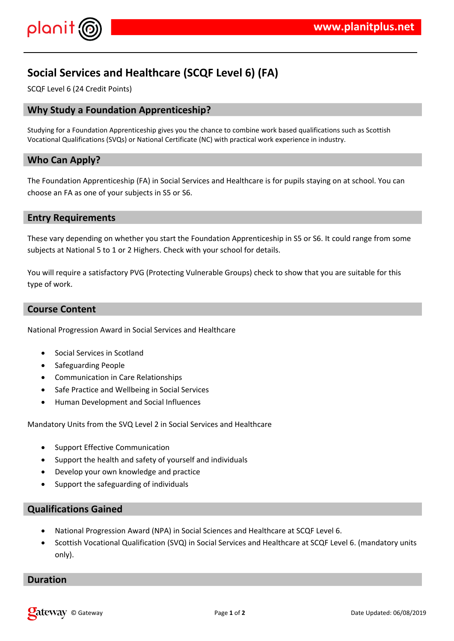

# **Social Services and Healthcare (SCQF Level 6) (FA)**

SCQF Level 6 (24 Credit Points)

## **Why Study a Foundation Apprenticeship?**

Studying for a Foundation Apprenticeship gives you the chance to combine work based qualifications such as Scottish Vocational Qualifications (SVQs) or National Certificate (NC) with practical work experience in industry.

## **Who Can Apply?**

The Foundation Apprenticeship (FA) in Social Services and Healthcare is for pupils staying on at school. You can choose an FA as one of your subjects in S5 or S6.

### **Entry Requirements**

These vary depending on whether you start the Foundation Apprenticeship in S5 or S6. It could range from some subjects at National 5 to 1 or 2 Highers. Check with your school for details.

You will require a satisfactory PVG (Protecting Vulnerable Groups) check to show that you are suitable for this type of work.

## **Course Content**

National Progression Award in Social Services and Healthcare

- Social Services in Scotland
- Safeguarding People
- Communication in Care Relationships
- Safe Practice and Wellbeing in Social Services
- Human Development and Social Influences

Mandatory Units from the SVQ Level 2 in Social Services and Healthcare

- Support Effective Communication
- Support the health and safety of yourself and individuals
- Develop your own knowledge and practice
- Support the safeguarding of individuals

## **Qualifications Gained**

- National Progression Award (NPA) in Social Sciences and Healthcare at SCQF Level 6.
- Scottish Vocational Qualification (SVQ) in Social Services and Healthcare at SCQF Level 6. (mandatory units only).

#### **Duration**